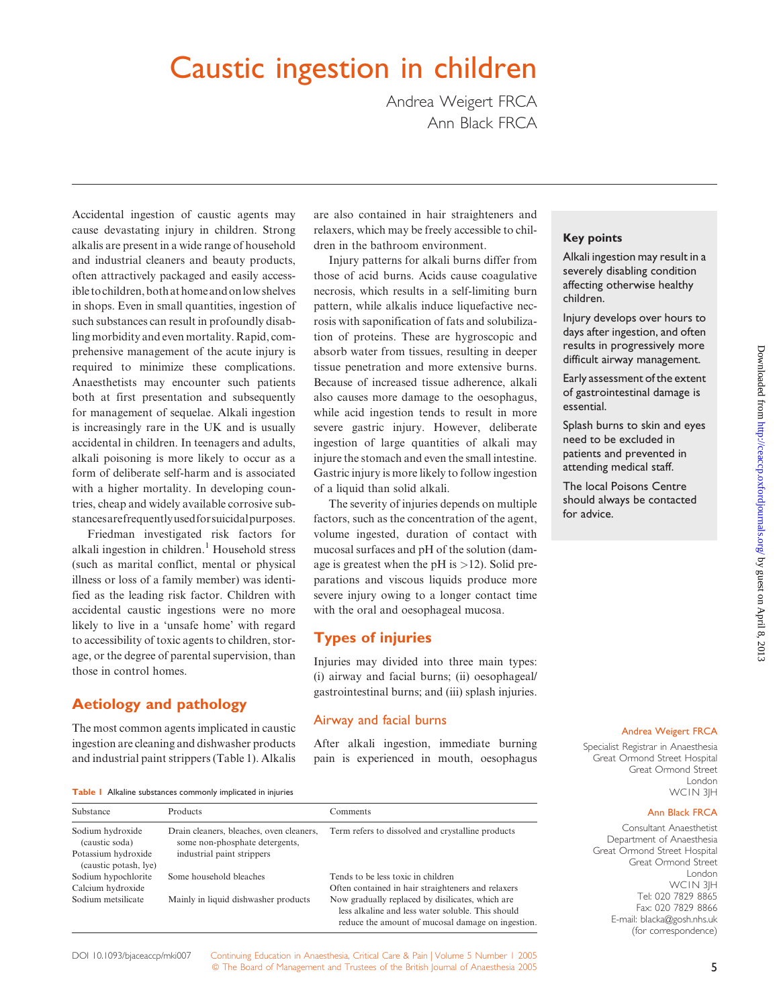# Caustic ingestion in children

Andrea Weigert FRCA Ann Black FRCA

Accidental ingestion of caustic agents may cause devastating injury in children. Strong alkalis are present in a wide range of household and industrial cleaners and beauty products, often attractively packaged and easily accessible to children, both at home and onlow shelves in shops. Even in small quantities, ingestion of such substances can result in profoundly disabling morbidity and even mortality. Rapid, comprehensive management of the acute injury is required to minimize these complications. Anaesthetists may encounter such patients both at first presentation and subsequently for management of sequelae. Alkali ingestion is increasingly rare in the UK and is usually accidental in children. In teenagers and adults, alkali poisoning is more likely to occur as a form of deliberate self-harm and is associated with a higher mortality. In developing countries, cheap and widely available corrosive substancesarefrequentlyusedforsuicidalpurposes.

Friedman investigated risk factors for alkali ingestion in children.<sup>1</sup> Household stress (such as marital conflict, mental or physical illness or loss of a family member) was identified as the leading risk factor. Children with accidental caustic ingestions were no more likely to live in a 'unsafe home' with regard to accessibility of toxic agents to children, storage, or the degree of parental supervision, than those in control homes.

## Aetiology and pathology

The most common agents implicated in caustic ingestion are cleaning and dishwasher products and industrial paint strippers (Table 1). Alkalis

are also contained in hair straighteners and relaxers, which may be freely accessible to children in the bathroom environment.

Injury patterns for alkali burns differ from those of acid burns. Acids cause coagulative necrosis, which results in a self-limiting burn pattern, while alkalis induce liquefactive necrosis with saponification of fats and solubilization of proteins. These are hygroscopic and absorb water from tissues, resulting in deeper tissue penetration and more extensive burns. Because of increased tissue adherence, alkali also causes more damage to the oesophagus, while acid ingestion tends to result in more severe gastric injury. However, deliberate ingestion of large quantities of alkali may injure the stomach and even the small intestine. Gastric injury is more likely to follow ingestion of a liquid than solid alkali.

The severity of injuries depends on multiple factors, such as the concentration of the agent, volume ingested, duration of contact with mucosal surfaces and pH of the solution (damage is greatest when the pH is  $>12$ ). Solid preparations and viscous liquids produce more severe injury owing to a longer contact time with the oral and oesophageal mucosa.

### Types of injuries

Injuries may divided into three main types: (i) airway and facial burns; (ii) oesophageal/ gastrointestinal burns; and (iii) splash injuries.

### Airway and facial burns

After alkali ingestion, immediate burning pain is experienced in mouth, oesophagus

### Key points

Alkali ingestion may result in a severely disabling condition affecting otherwise healthy children.

Injury develops over hours to days after ingestion, and often results in progressively more difficult airway management.

Early assessment of the extent of gastrointestinal damage is essential.

Splash burns to skin and eyes need to be excluded in patients and prevented in attending medical staff.

The local Poisons Centre should always be contacted for advice.

### Andrea Weigert FRCA

Specialist Registrar in Anaesthesia Great Ormond Street Hospital Great Ormond Street London WC1N 3JH

### Ann Black FRCA

Consultant Anaesthetist Department of Anaesthesia Great Ormond Street Hospital Great Ormond Street London WC1N 3JH Tel: 020 7829 8865 Fax: 020 7829 8866 E-mail: blacka@gosh.nhs.uk (for correspondence)

Table 1 Alkaline substances commonly implicated in injuries

| Substance                                    | Products                                                                                                 | Comments                                                                                                                                                   |
|----------------------------------------------|----------------------------------------------------------------------------------------------------------|------------------------------------------------------------------------------------------------------------------------------------------------------------|
| Sodium hydroxide<br>(caustic soda)           | Drain cleaners, bleaches, oven cleaners,<br>some non-phosphate detergents,<br>industrial paint strippers | Term refers to dissolved and crystalline products                                                                                                          |
| Potassium hydroxide<br>(caustic potash, lye) |                                                                                                          |                                                                                                                                                            |
| Sodium hypochlorite                          | Some household bleaches                                                                                  | Tends to be less toxic in children                                                                                                                         |
| Calcium hydroxide                            |                                                                                                          | Often contained in hair straighteners and relaxers                                                                                                         |
| Sodium metsilicate                           | Mainly in liquid dishwasher products                                                                     | Now gradually replaced by disilicates, which are<br>less alkaline and less water soluble. This should<br>reduce the amount of mucosal damage on ingestion. |

DOI 10.1093/bjaceaccp/mki007 Continuing Education in Anaesthesia, Critical Care & Pain | Volume 5 Number 1 2005 **a** The Board of Management and Trustees of the British Journal of Anaesthesia 2005 **5**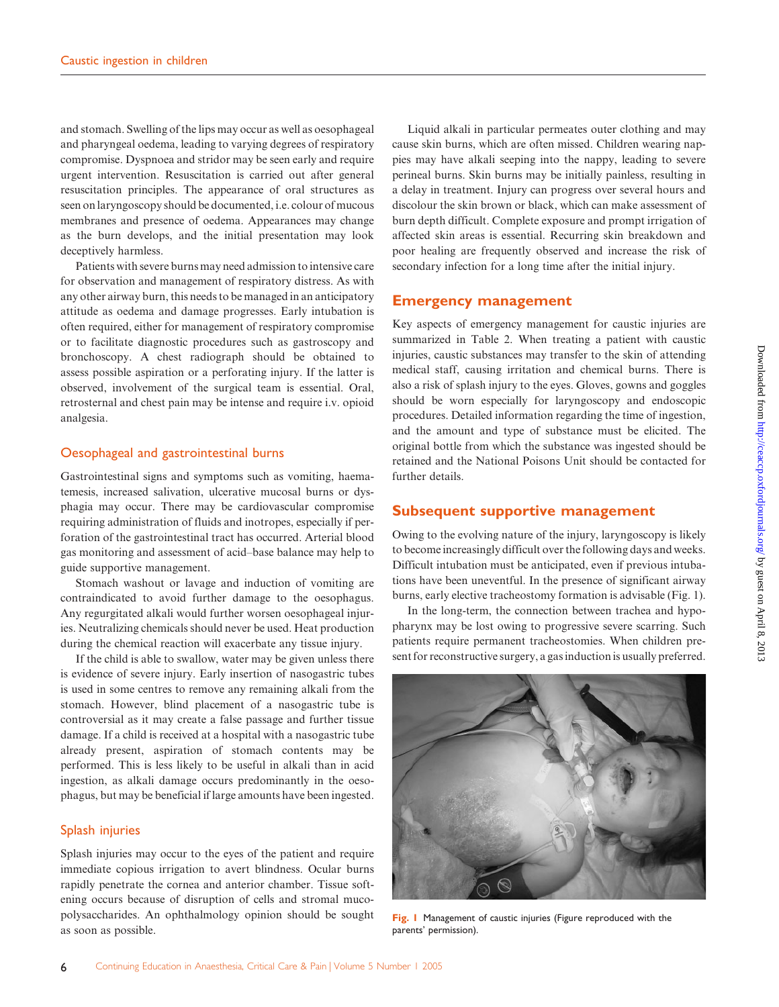and stomach. Swelling of the lips may occur as well as oesophageal and pharyngeal oedema, leading to varying degrees of respiratory compromise. Dyspnoea and stridor may be seen early and require urgent intervention. Resuscitation is carried out after general resuscitation principles. The appearance of oral structures as seen on laryngoscopy should be documented, i.e. colour of mucous membranes and presence of oedema. Appearances may change as the burn develops, and the initial presentation may look deceptively harmless.

Patients with severe burns may need admission to intensive care for observation and management of respiratory distress. As with any other airway burn, this needs to be managed in an anticipatory attitude as oedema and damage progresses. Early intubation is often required, either for management of respiratory compromise or to facilitate diagnostic procedures such as gastroscopy and bronchoscopy. A chest radiograph should be obtained to assess possible aspiration or a perforating injury. If the latter is observed, involvement of the surgical team is essential. Oral, retrosternal and chest pain may be intense and require i.v. opioid analgesia.

### Oesophageal and gastrointestinal burns

Gastrointestinal signs and symptoms such as vomiting, haematemesis, increased salivation, ulcerative mucosal burns or dysphagia may occur. There may be cardiovascular compromise requiring administration of fluids and inotropes, especially if perforation of the gastrointestinal tract has occurred. Arterial blood gas monitoring and assessment of acid–base balance may help to guide supportive management.

Stomach washout or lavage and induction of vomiting are contraindicated to avoid further damage to the oesophagus. Any regurgitated alkali would further worsen oesophageal injuries. Neutralizing chemicals should never be used. Heat production during the chemical reaction will exacerbate any tissue injury.

If the child is able to swallow, water may be given unless there is evidence of severe injury. Early insertion of nasogastric tubes is used in some centres to remove any remaining alkali from the stomach. However, blind placement of a nasogastric tube is controversial as it may create a false passage and further tissue damage. If a child is received at a hospital with a nasogastric tube already present, aspiration of stomach contents may be performed. This is less likely to be useful in alkali than in acid ingestion, as alkali damage occurs predominantly in the oesophagus, but may be beneficial if large amounts have been ingested.

### Splash injuries

Splash injuries may occur to the eyes of the patient and require immediate copious irrigation to avert blindness. Ocular burns rapidly penetrate the cornea and anterior chamber. Tissue softening occurs because of disruption of cells and stromal mucopolysaccharides. An ophthalmology opinion should be sought as soon as possible.

Liquid alkali in particular permeates outer clothing and may cause skin burns, which are often missed. Children wearing nappies may have alkali seeping into the nappy, leading to severe perineal burns. Skin burns may be initially painless, resulting in a delay in treatment. Injury can progress over several hours and discolour the skin brown or black, which can make assessment of burn depth difficult. Complete exposure and prompt irrigation of affected skin areas is essential. Recurring skin breakdown and poor healing are frequently observed and increase the risk of secondary infection for a long time after the initial injury.

### Emergency management

Key aspects of emergency management for caustic injuries are summarized in Table 2. When treating a patient with caustic injuries, caustic substances may transfer to the skin of attending medical staff, causing irritation and chemical burns. There is also a risk of splash injury to the eyes. Gloves, gowns and goggles should be worn especially for laryngoscopy and endoscopic procedures. Detailed information regarding the time of ingestion, and the amount and type of substance must be elicited. The original bottle from which the substance was ingested should be retained and the National Poisons Unit should be contacted for further details.

# Subsequent supportive management

Owing to the evolving nature of the injury, laryngoscopy is likely to become increasingly difficult over the following days and weeks. Difficult intubation must be anticipated, even if previous intubations have been uneventful. In the presence of significant airway burns, early elective tracheostomy formation is advisable (Fig. 1).

In the long-term, the connection between trachea and hypopharynx may be lost owing to progressive severe scarring. Such patients require permanent tracheostomies. When children present for reconstructive surgery, a gas induction is usually preferred.



Fig. I Management of caustic injuries (Figure reproduced with the parents' permission).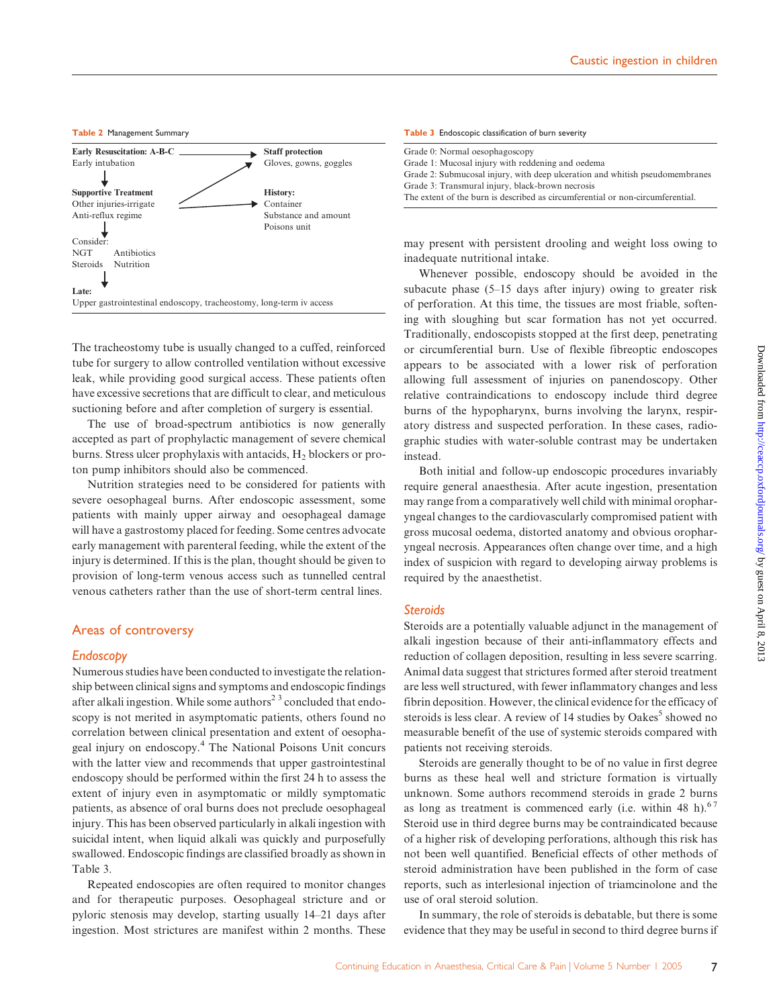#### Table 2 Management Summary



The tracheostomy tube is usually changed to a cuffed, reinforced tube for surgery to allow controlled ventilation without excessive leak, while providing good surgical access. These patients often have excessive secretions that are difficult to clear, and meticulous suctioning before and after completion of surgery is essential.

The use of broad-spectrum antibiotics is now generally accepted as part of prophylactic management of severe chemical burns. Stress ulcer prophylaxis with antacids,  $H_2$  blockers or proton pump inhibitors should also be commenced.

Nutrition strategies need to be considered for patients with severe oesophageal burns. After endoscopic assessment, some patients with mainly upper airway and oesophageal damage will have a gastrostomy placed for feeding. Some centres advocate early management with parenteral feeding, while the extent of the injury is determined. If this is the plan, thought should be given to provision of long-term venous access such as tunnelled central venous catheters rather than the use of short-term central lines.

### Areas of controversy

### **Endoscopy**

Numerous studies have been conducted to investigate the relationship between clinical signs and symptoms and endoscopic findings after alkali ingestion. While some authors<sup>23</sup> concluded that endoscopy is not merited in asymptomatic patients, others found no correlation between clinical presentation and extent of oesophageal injury on endoscopy.<sup>4</sup> The National Poisons Unit concurs with the latter view and recommends that upper gastrointestinal endoscopy should be performed within the first 24 h to assess the extent of injury even in asymptomatic or mildly symptomatic patients, as absence of oral burns does not preclude oesophageal injury. This has been observed particularly in alkali ingestion with suicidal intent, when liquid alkali was quickly and purposefully swallowed. Endoscopic findings are classified broadly as shown in Table 3.

Repeated endoscopies are often required to monitor changes and for therapeutic purposes. Oesophageal stricture and or pyloric stenosis may develop, starting usually 14–21 days after ingestion. Most strictures are manifest within 2 months. These

#### Table 3 Endoscopic classification of burn severity

| Grade 0: Normal oesophagoscopy                                                 |
|--------------------------------------------------------------------------------|
| Grade 1: Mucosal injury with reddening and oedema                              |
| Grade 2: Submucosal injury, with deep ulceration and whitish pseudomembranes   |
| Grade 3: Transmural injury, black-brown necrosis                               |
| The extent of the burn is described as circumferential or non-circumferential. |
|                                                                                |

may present with persistent drooling and weight loss owing to inadequate nutritional intake.

Whenever possible, endoscopy should be avoided in the subacute phase (5–15 days after injury) owing to greater risk of perforation. At this time, the tissues are most friable, softening with sloughing but scar formation has not yet occurred. Traditionally, endoscopists stopped at the first deep, penetrating or circumferential burn. Use of flexible fibreoptic endoscopes appears to be associated with a lower risk of perforation allowing full assessment of injuries on panendoscopy. Other relative contraindications to endoscopy include third degree burns of the hypopharynx, burns involving the larynx, respiratory distress and suspected perforation. In these cases, radiographic studies with water-soluble contrast may be undertaken instead.

Both initial and follow-up endoscopic procedures invariably require general anaesthesia. After acute ingestion, presentation may range from a comparatively well child with minimal oropharyngeal changes to the cardiovascularly compromised patient with gross mucosal oedema, distorted anatomy and obvious oropharyngeal necrosis. Appearances often change over time, and a high index of suspicion with regard to developing airway problems is required by the anaesthetist.

#### **Steroids**

Steroids are a potentially valuable adjunct in the management of alkali ingestion because of their anti-inflammatory effects and reduction of collagen deposition, resulting in less severe scarring. Animal data suggest that strictures formed after steroid treatment are less well structured, with fewer inflammatory changes and less fibrin deposition. However, the clinical evidence for the efficacy of steroids is less clear. A review of 14 studies by Oakes<sup>5</sup> showed no measurable benefit of the use of systemic steroids compared with patients not receiving steroids.

Steroids are generally thought to be of no value in first degree burns as these heal well and stricture formation is virtually unknown. Some authors recommend steroids in grade 2 burns as long as treatment is commenced early (i.e. within 48 h). $67$ Steroid use in third degree burns may be contraindicated because of a higher risk of developing perforations, although this risk has not been well quantified. Beneficial effects of other methods of steroid administration have been published in the form of case reports, such as interlesional injection of triamcinolone and the use of oral steroid solution.

In summary, the role of steroids is debatable, but there is some evidence that they may be useful in second to third degree burns if